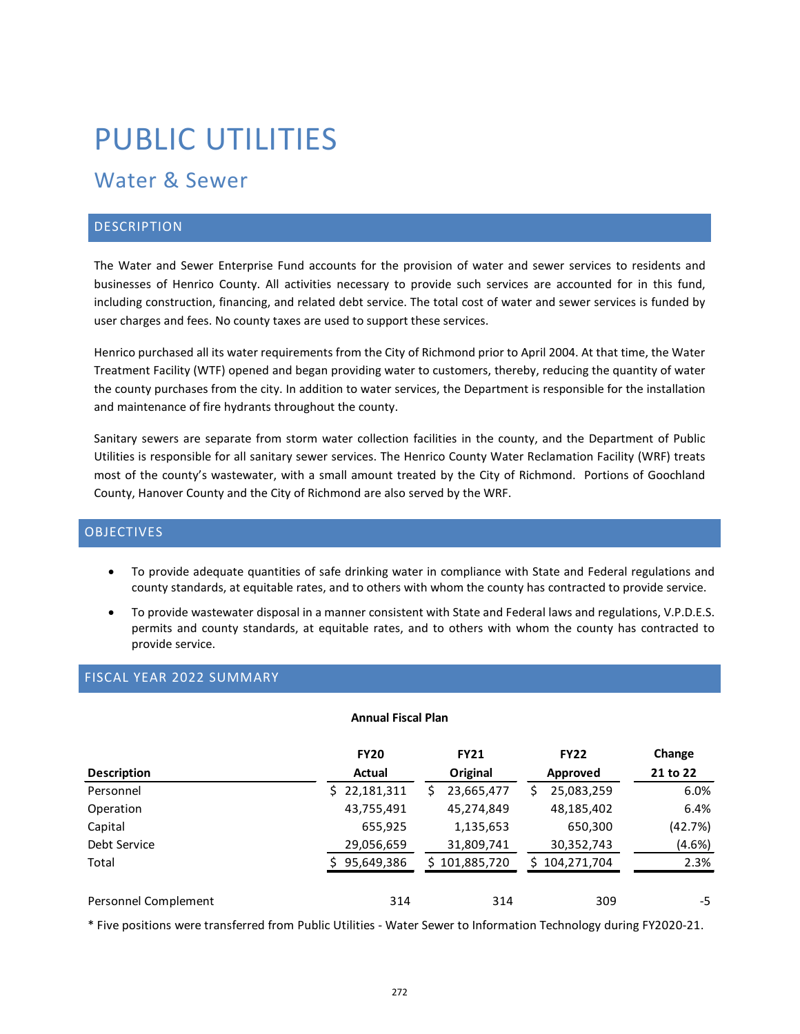# PUBLIC UTILITIES

# Water & Sewer

# **DESCRIPTION**

The Water and Sewer Enterprise Fund accounts for the provision of water and sewer services to residents and businesses of Henrico County. All activities necessary to provide such services are accounted for in this fund, including construction, financing, and related debt service. The total cost of water and sewer services is funded by user charges and fees. No county taxes are used to support these services.

Henrico purchased all its water requirements from the City of Richmond prior to April 2004. At that time, the Water Treatment Facility (WTF) opened and began providing water to customers, thereby, reducing the quantity of water the county purchases from the city. In addition to water services, the Department is responsible for the installation and maintenance of fire hydrants throughout the county.

Sanitary sewers are separate from storm water collection facilities in the county, and the Department of Public Utilities is responsible for all sanitary sewer services. The Henrico County Water Reclamation Facility (WRF) treats most of the county's wastewater, with a small amount treated by the City of Richmond. Portions of Goochland County, Hanover County and the City of Richmond are also served by the WRF.

# **OBJECTIVES**

- To provide adequate quantities of safe drinking water in compliance with State and Federal regulations and county standards, at equitable rates, and to others with whom the county has contracted to provide service.
- To provide wastewater disposal in a manner consistent with State and Federal laws and regulations, V.P.D.E.S. permits and county standards, at equitable rates, and to others with whom the county has contracted to provide service.

# FISCAL YEAR 2022 SUMMARY

#### **Annual Fiscal Plan**

|                      | <b>FY20</b>  | <b>FY21</b>     | <b>FY22</b>       | Change   |
|----------------------|--------------|-----------------|-------------------|----------|
| <b>Description</b>   | Actual       | Original        | Approved          | 21 to 22 |
| Personnel            | \$22,181,311 | 23,665,477<br>S | 25,083,259        | 6.0%     |
| Operation            | 43,755,491   | 45,274,849      | 48,185,402        | 6.4%     |
| Capital              | 655,925      | 1,135,653       | 650,300           | (42.7%)  |
| Debt Service         | 29,056,659   | 31,809,741      | 30,352,743        | (4.6%)   |
| Total                | 95,649,386   | \$101,885,720   | 104,271,704<br>S. | 2.3%     |
| Personnel Complement | 314          | 314             | 309               | -5       |

\* Five positions were transferred from Public Utilities - Water Sewer to Information Technology during FY2020-21.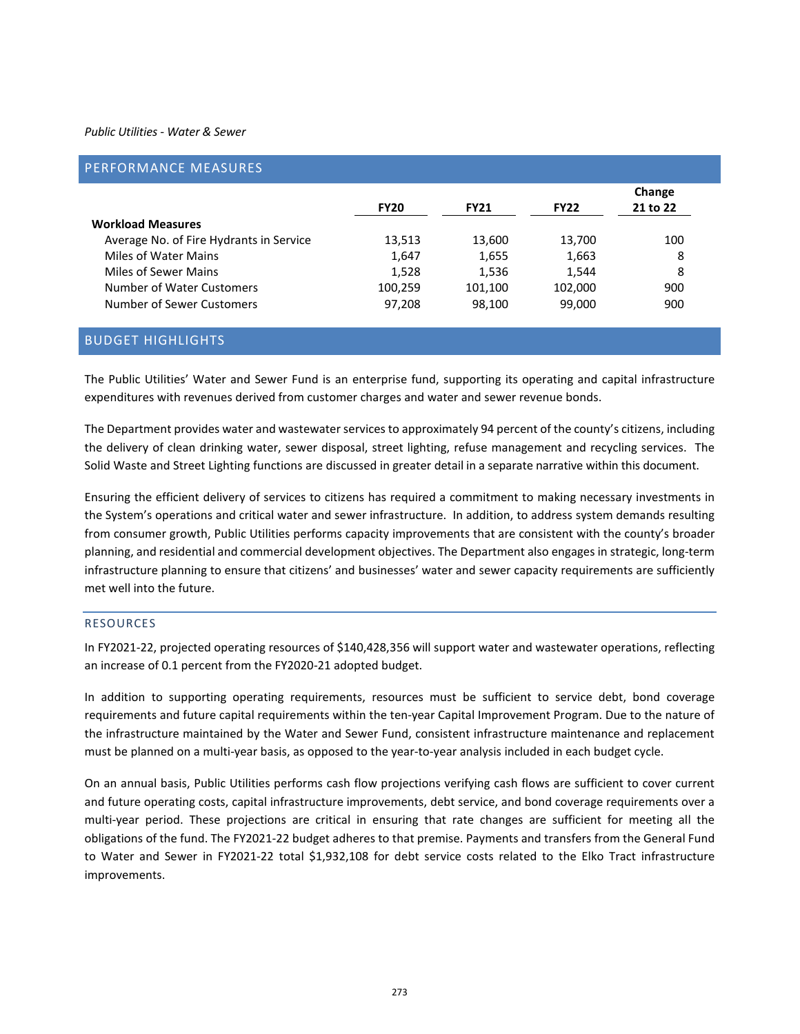#### *Public Utilities - Water & Sewer*

| PERFORMANCE MEASURES                    |             |             |             |                    |
|-----------------------------------------|-------------|-------------|-------------|--------------------|
|                                         | <b>FY20</b> | <b>FY21</b> | <b>FY22</b> | Change<br>21 to 22 |
| <b>Workload Measures</b>                |             |             |             |                    |
| Average No. of Fire Hydrants in Service | 13.513      | 13,600      | 13,700      | 100                |
| Miles of Water Mains                    | 1,647       | 1,655       | 1,663       | 8                  |
| Miles of Sewer Mains                    | 1,528       | 1,536       | 1,544       | 8                  |
| Number of Water Customers               | 100,259     | 101,100     | 102,000     | 900                |
| Number of Sewer Customers               | 97,208      | 98,100      | 99,000      | 900                |

# BUDGET HIGHLIGHTS

The Public Utilities' Water and Sewer Fund is an enterprise fund, supporting its operating and capital infrastructure expenditures with revenues derived from customer charges and water and sewer revenue bonds.

The Department provides water and wastewater services to approximately 94 percent of the county's citizens, including the delivery of clean drinking water, sewer disposal, street lighting, refuse management and recycling services. The Solid Waste and Street Lighting functions are discussed in greater detail in a separate narrative within this document.

Ensuring the efficient delivery of services to citizens has required a commitment to making necessary investments in the System's operations and critical water and sewer infrastructure. In addition, to address system demands resulting from consumer growth, Public Utilities performs capacity improvements that are consistent with the county's broader planning, and residential and commercial development objectives. The Department also engages in strategic, long-term infrastructure planning to ensure that citizens' and businesses' water and sewer capacity requirements are sufficiently met well into the future.

#### RESOURCES

In FY2021-22, projected operating resources of \$140,428,356 will support water and wastewater operations, reflecting an increase of 0.1 percent from the FY2020-21 adopted budget.

In addition to supporting operating requirements, resources must be sufficient to service debt, bond coverage requirements and future capital requirements within the ten-year Capital Improvement Program. Due to the nature of the infrastructure maintained by the Water and Sewer Fund, consistent infrastructure maintenance and replacement must be planned on a multi-year basis, as opposed to the year-to-year analysis included in each budget cycle.

On an annual basis, Public Utilities performs cash flow projections verifying cash flows are sufficient to cover current and future operating costs, capital infrastructure improvements, debt service, and bond coverage requirements over a multi-year period. These projections are critical in ensuring that rate changes are sufficient for meeting all the obligations of the fund. The FY2021-22 budget adheres to that premise. Payments and transfers from the General Fund to Water and Sewer in FY2021-22 total \$1,932,108 for debt service costs related to the Elko Tract infrastructure improvements.